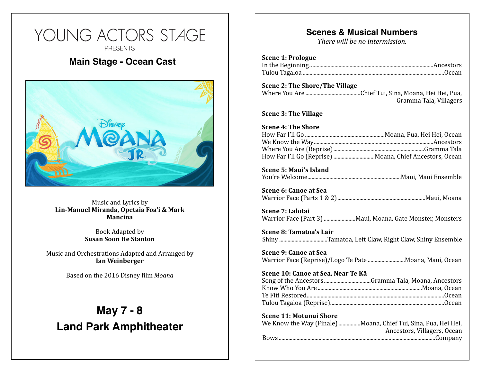# YOUNG ACTORS STAGE **PRESENTS Main Stage - Ocean Cast Showtimes Fri, Dec 2, 7pm (Main Stage Cast)**  Music and Lyrics by

**Sam Express on Express by**<br>Lin-Manuel Miranda, Opetaia Foa'i & Mark<br>Mancina **Mancina**

**Book Adapted by<br>
<b>Susan Soon He Stanton** Book Adapted by

Music and Orchestrations Adapted and Arranged by **Ian Weinberger**

**Based** on the 2016 Disney film *Moana* 

**Sun, Dec 4, 11am (Phoebe Hearst Cast)** 

## **May 7 - 8 Land Park Amphitheater**

**Ticket Prices**

\$12 Adult

**Location**

24th Street Theater

2791 24th Street, Sacramento, CA

### **Scenes & Musical Numbers**

*There will be no intermission.* 

| <b>Scene 1: Prologue</b> |  |
|--------------------------|--|
|                          |  |
|                          |  |

#### **Scene 2: The Shore/The Village** Where You Are Chief Tui, Sina, Moana, Hei Hei, Pua, ........................................ Gramma Tala, Villagers

**Scene 3: The Village** 

**Scene 5: Maui's Island** You're Welcome Maui, Maui Ensemble ....................................................................

**Scene 6: Canoe at Sea** Warrior Face (Parts 1 & 2) Maui, Moana ................................................................

**Scene 7: Lalotai** Warrior Face (Part 3) Maui, Moana, Gate Monster, Monsters .......................

**Scene 8: Tamatoa's Lair** Shiny ..................................Tamatoa, Left Claw, Right Claw, Shiny Ensemble

**Scene 9: Canoe at Sea** Warrior Face (Reprise)/Logo Te Pate .............................Moana, Maui, Ocean

#### **Scene 10: Canoe at Sea, Near Te Kā**

**Scene 11: Motunui Shore** 

| We Know the Way (Finale) Moana, Chief Tui, Sina, Pua, Hei Hei, |
|----------------------------------------------------------------|
| Ancestors, Villagers, Ocean                                    |
|                                                                |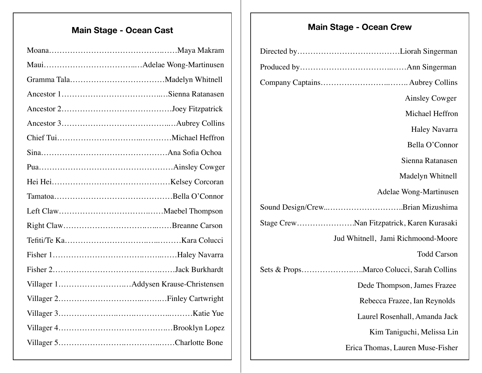## **Main Stage - Ocean Cast Main Stage - Ocean Crew**

| <b>Ainsley Cowger</b>                     |
|-------------------------------------------|
| Michael Heffron                           |
| <b>Haley Navarra</b>                      |
| Bella O'Connor                            |
| Sienna Ratanasen                          |
| Madelyn Whitnell                          |
| Adelae Wong-Martinusen                    |
|                                           |
| Stage CrewNan Fitzpatrick, Karen Kurasaki |
| Jud Whitnell, Jami Richmoond-Moore        |
| <b>Todd Carson</b>                        |
|                                           |
| Dede Thompson, James Frazee               |
| Rebecca Frazee, Ian Reynolds              |
| Laurel Rosenhall, Amanda Jack             |
| Kim Taniguchi, Melissa Lin                |
| Erica Thomas, Lauren Muse-Fisher          |